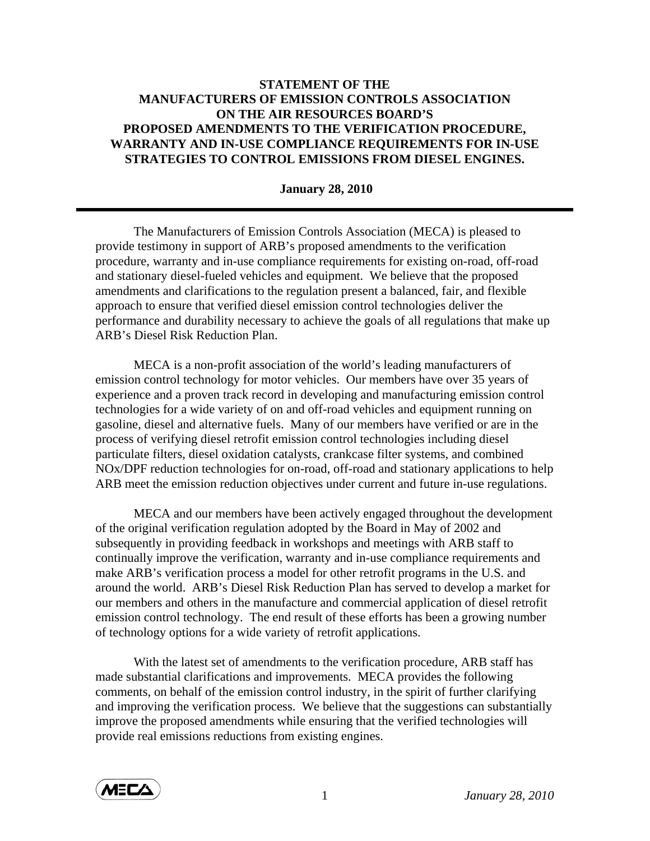## **STATEMENT OF THE MANUFACTURERS OF EMISSION CONTROLS ASSOCIATION ON THE AIR RESOURCES BOARD'S PROPOSED AMENDMENTS TO THE VERIFICATION PROCEDURE, WARRANTY AND IN-USE COMPLIANCE REQUIREMENTS FOR IN-USE STRATEGIES TO CONTROL EMISSIONS FROM DIESEL ENGINES.**

## **January 28, 2010**

 The Manufacturers of Emission Controls Association (MECA) is pleased to provide testimony in support of ARB's proposed amendments to the verification procedure, warranty and in-use compliance requirements for existing on-road, off-road and stationary diesel-fueled vehicles and equipment. We believe that the proposed amendments and clarifications to the regulation present a balanced, fair, and flexible approach to ensure that verified diesel emission control technologies deliver the performance and durability necessary to achieve the goals of all regulations that make up ARB's Diesel Risk Reduction Plan.

 MECA is a non-profit association of the world's leading manufacturers of emission control technology for motor vehicles. Our members have over 35 years of experience and a proven track record in developing and manufacturing emission control technologies for a wide variety of on and off-road vehicles and equipment running on gasoline, diesel and alternative fuels. Many of our members have verified or are in the process of verifying diesel retrofit emission control technologies including diesel particulate filters, diesel oxidation catalysts, crankcase filter systems, and combined NOx/DPF reduction technologies for on-road, off-road and stationary applications to help ARB meet the emission reduction objectives under current and future in-use regulations.

MECA and our members have been actively engaged throughout the development of the original verification regulation adopted by the Board in May of 2002 and subsequently in providing feedback in workshops and meetings with ARB staff to continually improve the verification, warranty and in-use compliance requirements and make ARB's verification process a model for other retrofit programs in the U.S. and around the world. ARB's Diesel Risk Reduction Plan has served to develop a market for our members and others in the manufacture and commercial application of diesel retrofit emission control technology. The end result of these efforts has been a growing number of technology options for a wide variety of retrofit applications.

With the latest set of amendments to the verification procedure, ARB staff has made substantial clarifications and improvements. MECA provides the following comments, on behalf of the emission control industry, in the spirit of further clarifying and improving the verification process. We believe that the suggestions can substantially improve the proposed amendments while ensuring that the verified technologies will provide real emissions reductions from existing engines.

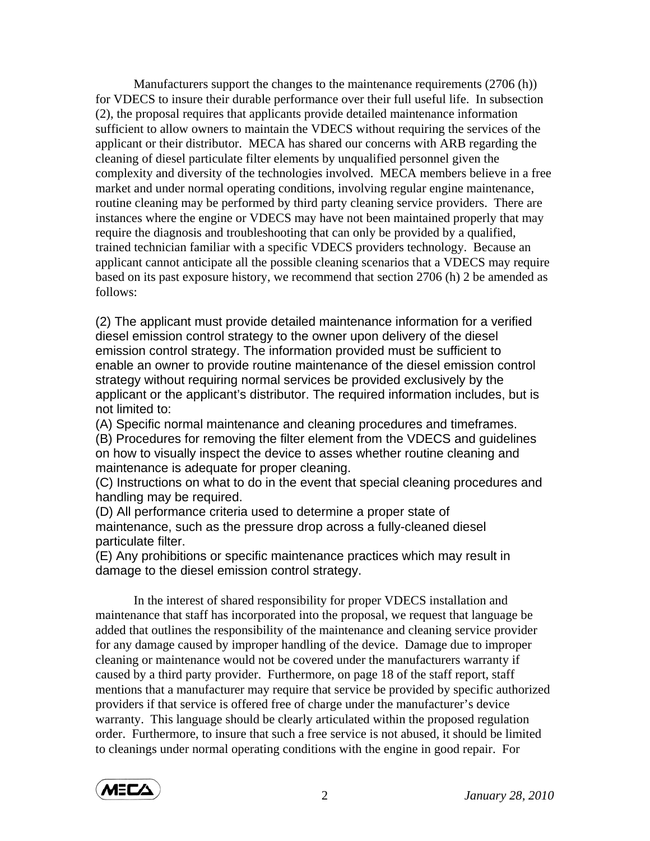Manufacturers support the changes to the maintenance requirements (2706 (h)) for VDECS to insure their durable performance over their full useful life. In subsection (2), the proposal requires that applicants provide detailed maintenance information sufficient to allow owners to maintain the VDECS without requiring the services of the applicant or their distributor. MECA has shared our concerns with ARB regarding the cleaning of diesel particulate filter elements by unqualified personnel given the complexity and diversity of the technologies involved. MECA members believe in a free market and under normal operating conditions, involving regular engine maintenance, routine cleaning may be performed by third party cleaning service providers. There are instances where the engine or VDECS may have not been maintained properly that may require the diagnosis and troubleshooting that can only be provided by a qualified, trained technician familiar with a specific VDECS providers technology. Because an applicant cannot anticipate all the possible cleaning scenarios that a VDECS may require based on its past exposure history, we recommend that section 2706 (h) 2 be amended as follows:

(2) The applicant must provide detailed maintenance information for a verified diesel emission control strategy to the owner upon delivery of the diesel emission control strategy. The information provided must be sufficient to enable an owner to provide routine maintenance of the diesel emission control strategy without requiring normal services be provided exclusively by the applicant or the applicant's distributor. The required information includes, but is not limited to:

(A) Specific normal maintenance and cleaning procedures and timeframes.

(B) Procedures for removing the filter element from the VDECS and guidelines on how to visually inspect the device to asses whether routine cleaning and maintenance is adequate for proper cleaning.

(C) Instructions on what to do in the event that special cleaning procedures and handling may be required.

(D) All performance criteria used to determine a proper state of maintenance, such as the pressure drop across a fully-cleaned diesel particulate filter.

(E) Any prohibitions or specific maintenance practices which may result in damage to the diesel emission control strategy.

In the interest of shared responsibility for proper VDECS installation and maintenance that staff has incorporated into the proposal, we request that language be added that outlines the responsibility of the maintenance and cleaning service provider for any damage caused by improper handling of the device. Damage due to improper cleaning or maintenance would not be covered under the manufacturers warranty if caused by a third party provider. Furthermore, on page 18 of the staff report, staff mentions that a manufacturer may require that service be provided by specific authorized providers if that service is offered free of charge under the manufacturer's device warranty. This language should be clearly articulated within the proposed regulation order. Furthermore, to insure that such a free service is not abused, it should be limited to cleanings under normal operating conditions with the engine in good repair. For

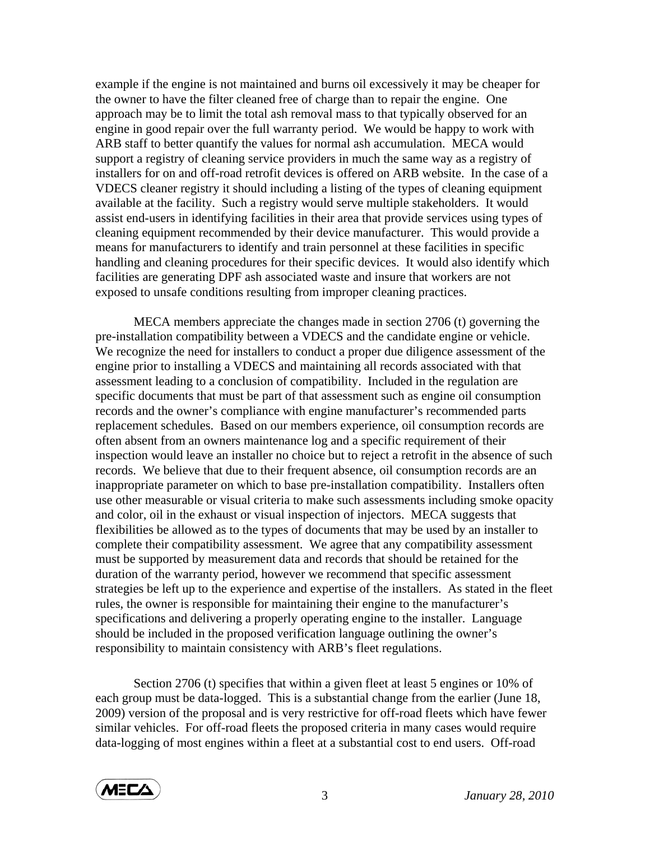example if the engine is not maintained and burns oil excessively it may be cheaper for the owner to have the filter cleaned free of charge than to repair the engine. One approach may be to limit the total ash removal mass to that typically observed for an engine in good repair over the full warranty period. We would be happy to work with ARB staff to better quantify the values for normal ash accumulation. MECA would support a registry of cleaning service providers in much the same way as a registry of installers for on and off-road retrofit devices is offered on ARB website. In the case of a VDECS cleaner registry it should including a listing of the types of cleaning equipment available at the facility. Such a registry would serve multiple stakeholders. It would assist end-users in identifying facilities in their area that provide services using types of cleaning equipment recommended by their device manufacturer. This would provide a means for manufacturers to identify and train personnel at these facilities in specific handling and cleaning procedures for their specific devices. It would also identify which facilities are generating DPF ash associated waste and insure that workers are not exposed to unsafe conditions resulting from improper cleaning practices.

MECA members appreciate the changes made in section 2706 (t) governing the pre-installation compatibility between a VDECS and the candidate engine or vehicle. We recognize the need for installers to conduct a proper due diligence assessment of the engine prior to installing a VDECS and maintaining all records associated with that assessment leading to a conclusion of compatibility. Included in the regulation are specific documents that must be part of that assessment such as engine oil consumption records and the owner's compliance with engine manufacturer's recommended parts replacement schedules. Based on our members experience, oil consumption records are often absent from an owners maintenance log and a specific requirement of their inspection would leave an installer no choice but to reject a retrofit in the absence of such records. We believe that due to their frequent absence, oil consumption records are an inappropriate parameter on which to base pre-installation compatibility. Installers often use other measurable or visual criteria to make such assessments including smoke opacity and color, oil in the exhaust or visual inspection of injectors. MECA suggests that flexibilities be allowed as to the types of documents that may be used by an installer to complete their compatibility assessment. We agree that any compatibility assessment must be supported by measurement data and records that should be retained for the duration of the warranty period, however we recommend that specific assessment strategies be left up to the experience and expertise of the installers. As stated in the fleet rules, the owner is responsible for maintaining their engine to the manufacturer's specifications and delivering a properly operating engine to the installer. Language should be included in the proposed verification language outlining the owner's responsibility to maintain consistency with ARB's fleet regulations.

Section 2706 (t) specifies that within a given fleet at least 5 engines or 10% of each group must be data-logged. This is a substantial change from the earlier (June 18, 2009) version of the proposal and is very restrictive for off-road fleets which have fewer similar vehicles. For off-road fleets the proposed criteria in many cases would require data-logging of most engines within a fleet at a substantial cost to end users. Off-road

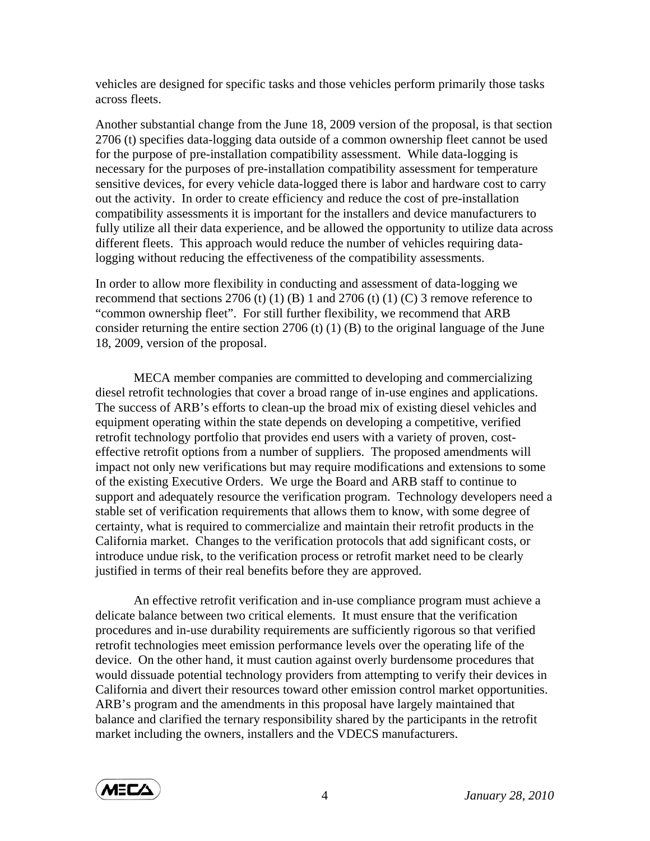vehicles are designed for specific tasks and those vehicles perform primarily those tasks across fleets.

Another substantial change from the June 18, 2009 version of the proposal, is that section 2706 (t) specifies data-logging data outside of a common ownership fleet cannot be used for the purpose of pre-installation compatibility assessment. While data-logging is necessary for the purposes of pre-installation compatibility assessment for temperature sensitive devices, for every vehicle data-logged there is labor and hardware cost to carry out the activity. In order to create efficiency and reduce the cost of pre-installation compatibility assessments it is important for the installers and device manufacturers to fully utilize all their data experience, and be allowed the opportunity to utilize data across different fleets. This approach would reduce the number of vehicles requiring datalogging without reducing the effectiveness of the compatibility assessments.

In order to allow more flexibility in conducting and assessment of data-logging we recommend that sections 2706 (t) (1) (B) 1 and 2706 (t) (1) (C) 3 remove reference to "common ownership fleet". For still further flexibility, we recommend that ARB consider returning the entire section 2706 (t) (1) (B) to the original language of the June 18, 2009, version of the proposal.

MECA member companies are committed to developing and commercializing diesel retrofit technologies that cover a broad range of in-use engines and applications. The success of ARB's efforts to clean-up the broad mix of existing diesel vehicles and equipment operating within the state depends on developing a competitive, verified retrofit technology portfolio that provides end users with a variety of proven, costeffective retrofit options from a number of suppliers. The proposed amendments will impact not only new verifications but may require modifications and extensions to some of the existing Executive Orders. We urge the Board and ARB staff to continue to support and adequately resource the verification program. Technology developers need a stable set of verification requirements that allows them to know, with some degree of certainty, what is required to commercialize and maintain their retrofit products in the California market. Changes to the verification protocols that add significant costs, or introduce undue risk, to the verification process or retrofit market need to be clearly justified in terms of their real benefits before they are approved.

An effective retrofit verification and in-use compliance program must achieve a delicate balance between two critical elements. It must ensure that the verification procedures and in-use durability requirements are sufficiently rigorous so that verified retrofit technologies meet emission performance levels over the operating life of the device. On the other hand, it must caution against overly burdensome procedures that would dissuade potential technology providers from attempting to verify their devices in California and divert their resources toward other emission control market opportunities. ARB's program and the amendments in this proposal have largely maintained that balance and clarified the ternary responsibility shared by the participants in the retrofit market including the owners, installers and the VDECS manufacturers.